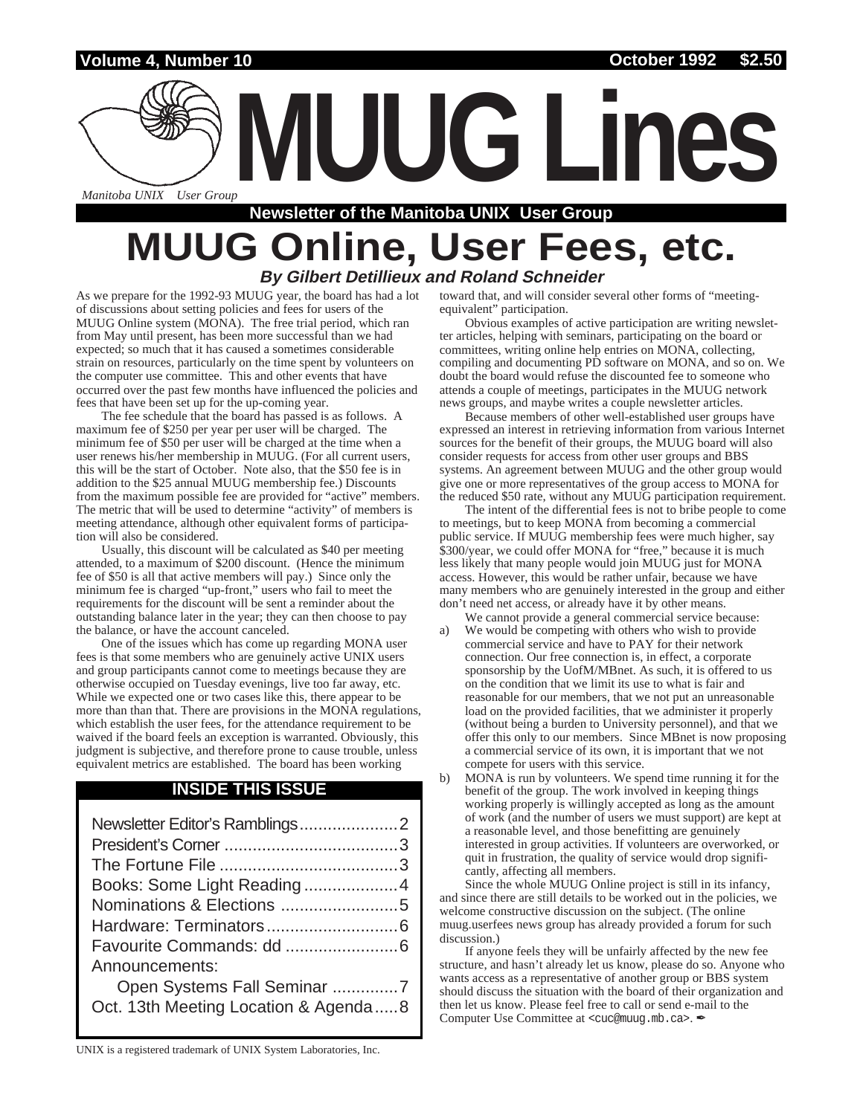**Volume 4, Number 10 October 1992 \$2.50**

*Manitoba UNIX<sup>®</sup> User Group* 

### **Newsletter of the Manitoba UNIX User Group**

### **MUUG Online, User Fees, etc. By Gilbert Detillieux and Roland Schneider**

As we prepare for the 1992-93 MUUG year, the board has had a lot of discussions about setting policies and fees for users of the MUUG Online system (MONA). The free trial period, which ran from May until present, has been more successful than we had expected; so much that it has caused a sometimes considerable strain on resources, particularly on the time spent by volunteers on the computer use committee. This and other events that have occurred over the past few months have influenced the policies and fees that have been set up for the up-coming year.

The fee schedule that the board has passed is as follows. A maximum fee of \$250 per year per user will be charged. The minimum fee of \$50 per user will be charged at the time when a user renews his/her membership in MUUG. (For all current users, this will be the start of October. Note also, that the \$50 fee is in addition to the \$25 annual MUUG membership fee.) Discounts from the maximum possible fee are provided for "active" members. The metric that will be used to determine "activity" of members is meeting attendance, although other equivalent forms of participation will also be considered.

Usually, this discount will be calculated as \$40 per meeting attended, to a maximum of \$200 discount. (Hence the minimum fee of \$50 is all that active members will pay.) Since only the minimum fee is charged "up-front," users who fail to meet the requirements for the discount will be sent a reminder about the outstanding balance later in the year; they can then choose to pay the balance, or have the account canceled.

One of the issues which has come up regarding MONA user fees is that some members who are genuinely active UNIX users and group participants cannot come to meetings because they are otherwise occupied on Tuesday evenings, live too far away, etc. While we expected one or two cases like this, there appear to be more than than that. There are provisions in the MONA regulations, which establish the user fees, for the attendance requirement to be waived if the board feels an exception is warranted. Obviously, this judgment is subjective, and therefore prone to cause trouble, unless equivalent metrics are established. The board has been working

#### **INSIDE THIS ISSUE**

| Announcements:                       |  |  |
|--------------------------------------|--|--|
| Open Systems Fall Seminar 7          |  |  |
| Oct. 13th Meeting Location & Agenda8 |  |  |

toward that, and will consider several other forms of "meetingequivalent" participation.

**MUUG Lines**

Obvious examples of active participation are writing newsletter articles, helping with seminars, participating on the board or committees, writing online help entries on MONA, collecting, compiling and documenting PD software on MONA, and so on. We doubt the board would refuse the discounted fee to someone who attends a couple of meetings, participates in the MUUG network news groups, and maybe writes a couple newsletter articles.

Because members of other well-established user groups have expressed an interest in retrieving information from various Internet sources for the benefit of their groups, the MUUG board will also consider requests for access from other user groups and BBS systems. An agreement between MUUG and the other group would give one or more representatives of the group access to MONA for the reduced \$50 rate, without any MUUG participation requirement.

The intent of the differential fees is not to bribe people to come to meetings, but to keep MONA from becoming a commercial public service. If MUUG membership fees were much higher, say \$300/year, we could offer MONA for "free," because it is much less likely that many people would join MUUG just for MONA access. However, this would be rather unfair, because we have many members who are genuinely interested in the group and either don't need net access, or already have it by other means.

- We cannot provide a general commercial service because: a) We would be competing with others who wish to provide commercial service and have to PAY for their network connection. Our free connection is, in effect, a corporate sponsorship by the UofM/MBnet. As such, it is offered to us on the condition that we limit its use to what is fair and reasonable for our members, that we not put an unreasonable load on the provided facilities, that we administer it properly (without being a burden to University personnel), and that we offer this only to our members. Since MBnet is now proposing a commercial service of its own, it is important that we not compete for users with this service.
- b) MONA is run by volunteers. We spend time running it for the benefit of the group. The work involved in keeping things working properly is willingly accepted as long as the amount of work (and the number of users we must support) are kept at a reasonable level, and those benefitting are genuinely interested in group activities. If volunteers are overworked, or quit in frustration, the quality of service would drop significantly, affecting all members.

Since the whole MUUG Online project is still in its infancy, and since there are still details to be worked out in the policies, we welcome constructive discussion on the subject. (The online muug.userfees news group has already provided a forum for such discussion.)

If anyone feels they will be unfairly affected by the new fee structure, and hasn't already let us know, please do so. Anyone who wants access as a representative of another group or BBS system should discuss the situation with the board of their organization and then let us know. Please feel free to call or send e-mail to the Computer Use Committee at <cuc@muug.mb.ca>.

UNIX is a registered trademark of UNIX System Laboratories, Inc.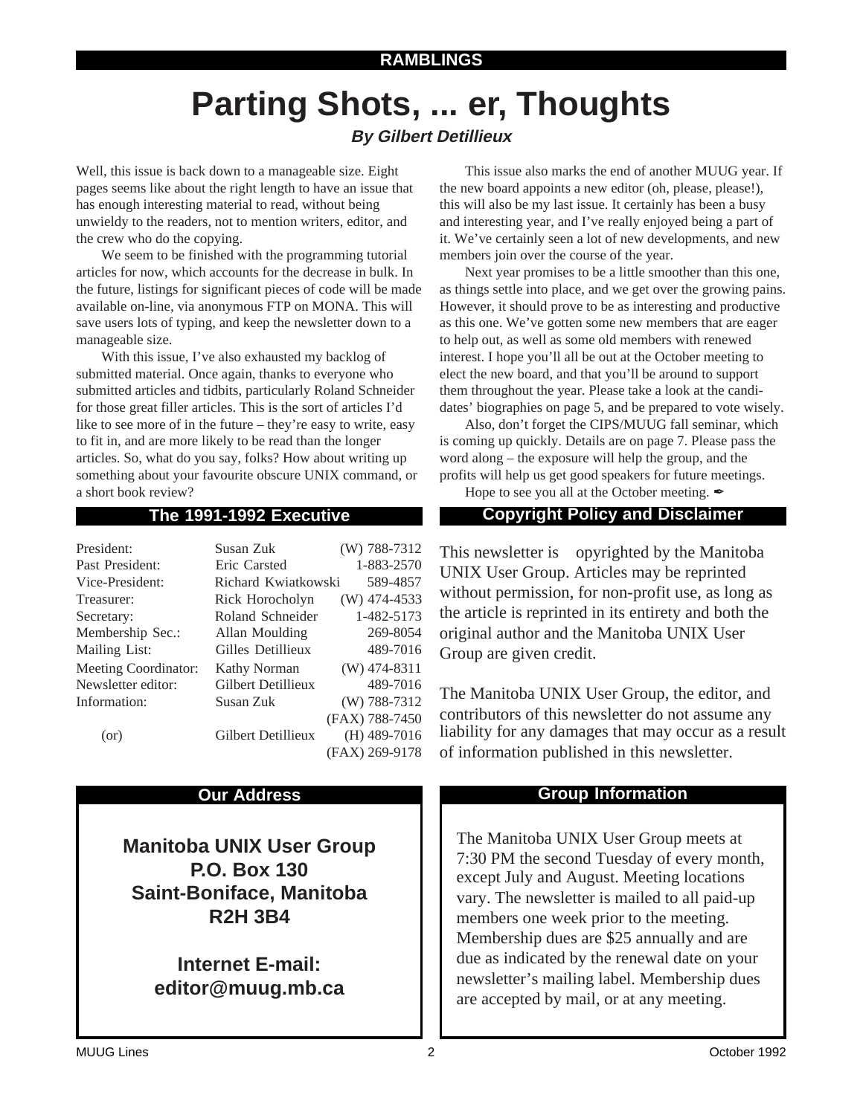# **Parting Shots, ... er, Thoughts**

#### **By Gilbert Detillieux**

Well, this issue is back down to a manageable size. Eight pages seems like about the right length to have an issue that has enough interesting material to read, without being unwieldy to the readers, not to mention writers, editor, and the crew who do the copying.

We seem to be finished with the programming tutorial articles for now, which accounts for the decrease in bulk. In the future, listings for significant pieces of code will be made available on-line, via anonymous FTP on MONA. This will save users lots of typing, and keep the newsletter down to a manageable size.

With this issue, I've also exhausted my backlog of submitted material. Once again, thanks to everyone who submitted articles and tidbits, particularly Roland Schneider for those great filler articles. This is the sort of articles I'd like to see more of in the future – they're easy to write, easy to fit in, and are more likely to be read than the longer articles. So, what do you say, folks? How about writing up something about your favourite obscure UNIX command, or a short book review?

| President:                  | Susan Zuk                       | (W) 788-7312   |
|-----------------------------|---------------------------------|----------------|
| Past President:             | Eric Carsted                    | 1-883-2570     |
| Vice-President:             | 589-4857<br>Richard Kwiatkowski |                |
| Treasurer:                  | Rick Horocholyn                 | $(W)$ 474-4533 |
| Secretary:                  | Roland Schneider                | 1-482-5173     |
| Membership Sec.:            | Allan Moulding                  | 269-8054       |
| Mailing List:               | Gilles Detillieux               | 489-7016       |
| <b>Meeting Coordinator:</b> | <b>Kathy Norman</b>             | $(W)$ 474-8311 |
| Newsletter editor:          | Gilbert Detillieux              | 489-7016       |
| Information:                | Susan Zuk                       | $(W)$ 788-7312 |
|                             |                                 | (FAX) 788-7450 |
| (or)                        | Gilbert Detillieux              | $(H)$ 489-7016 |
|                             |                                 | (FAX) 269-9178 |

**Manitoba UNIX User Group P.O. Box 130 Saint-Boniface, Manitoba R2H 3B4**

> **Internet E-mail: editor@muug.mb.ca**

This issue also marks the end of another MUUG year. If the new board appoints a new editor (oh, please, please!), this will also be my last issue. It certainly has been a busy and interesting year, and I've really enjoyed being a part of it. We've certainly seen a lot of new developments, and new members join over the course of the year.

Next year promises to be a little smoother than this one, as things settle into place, and we get over the growing pains. However, it should prove to be as interesting and productive as this one. We've gotten some new members that are eager to help out, as well as some old members with renewed interest. I hope you'll all be out at the October meeting to elect the new board, and that you'll be around to support them throughout the year. Please take a look at the candidates' biographies on page 5, and be prepared to vote wisely.

Also, don't forget the CIPS/MUUG fall seminar, which is coming up quickly. Details are on page 7. Please pass the word along – the exposure will help the group, and the profits will help us get good speakers for future meetings.

Hope to see you all at the October meeting.  $\mathscr I$ 

#### **The 1991-1992 Executive Copyright Policy and Disclaimer**

This newsletter is Copyrighted by the Manitoba UNIX User Group. Articles may be reprinted without permission, for non-profit use, as long as the article is reprinted in its entirety and both the original author and the Manitoba UNIX User Group are given credit.

The Manitoba UNIX User Group, the editor, and contributors of this newsletter do not assume any liability for any damages that may occur as a result of information published in this newsletter.

#### **Our Address Community Community Community Community Community Community Community Community Community Community**

The Manitoba UNIX User Group meets at 7:30 PM the second Tuesday of every month, except July and August. Meeting locations vary. The newsletter is mailed to all paid-up members one week prior to the meeting. Membership dues are \$25 annually and are due as indicated by the renewal date on your newsletter's mailing label. Membership dues are accepted by mail, or at any meeting.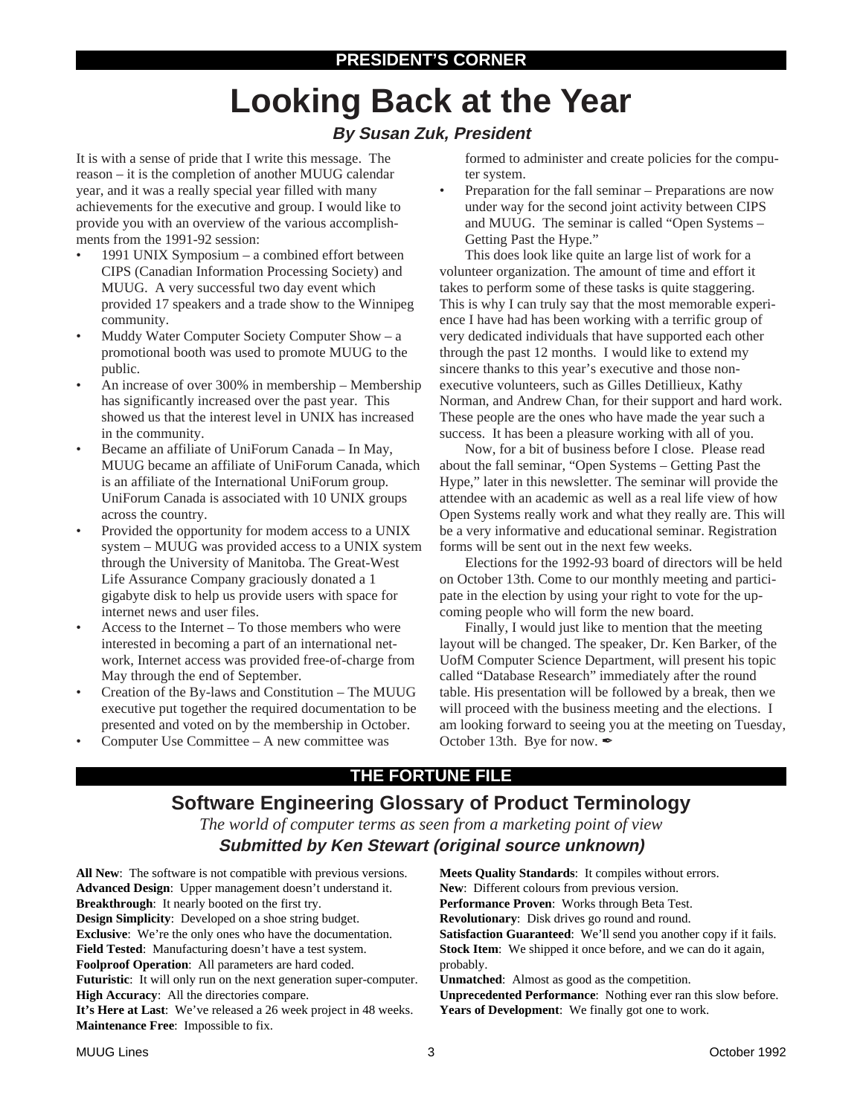# **Looking Back at the Year**

#### **By Susan Zuk, President**

It is with a sense of pride that I write this message. The reason – it is the completion of another MUUG calendar year, and it was a really special year filled with many achievements for the executive and group. I would like to provide you with an overview of the various accomplishments from the 1991-92 session:

- 1991 UNIX Symposium a combined effort between CIPS (Canadian Information Processing Society) and MUUG. A very successful two day event which provided 17 speakers and a trade show to the Winnipeg community.
- Muddy Water Computer Society Computer Show a promotional booth was used to promote MUUG to the public.
- An increase of over 300% in membership Membership has significantly increased over the past year. This showed us that the interest level in UNIX has increased in the community.
- Became an affiliate of UniForum Canada In May, MUUG became an affiliate of UniForum Canada, which is an affiliate of the International UniForum group. UniForum Canada is associated with 10 UNIX groups across the country.
- Provided the opportunity for modem access to a UNIX system – MUUG was provided access to a UNIX system through the University of Manitoba. The Great-West Life Assurance Company graciously donated a 1 gigabyte disk to help us provide users with space for internet news and user files.
- Access to the Internet To those members who were interested in becoming a part of an international network, Internet access was provided free-of-charge from May through the end of September.
- Creation of the By-laws and Constitution The MUUG executive put together the required documentation to be presented and voted on by the membership in October.
- Computer Use Committee A new committee was

formed to administer and create policies for the computer system.

• Preparation for the fall seminar – Preparations are now under way for the second joint activity between CIPS and MUUG. The seminar is called "Open Systems – Getting Past the Hype."

This does look like quite an large list of work for a volunteer organization. The amount of time and effort it takes to perform some of these tasks is quite staggering. This is why I can truly say that the most memorable experience I have had has been working with a terrific group of very dedicated individuals that have supported each other through the past 12 months. I would like to extend my sincere thanks to this year's executive and those nonexecutive volunteers, such as Gilles Detillieux, Kathy Norman, and Andrew Chan, for their support and hard work. These people are the ones who have made the year such a success. It has been a pleasure working with all of you.

Now, for a bit of business before I close. Please read about the fall seminar, "Open Systems – Getting Past the Hype," later in this newsletter. The seminar will provide the attendee with an academic as well as a real life view of how Open Systems really work and what they really are. This will be a very informative and educational seminar. Registration forms will be sent out in the next few weeks.

Elections for the 1992-93 board of directors will be held on October 13th. Come to our monthly meeting and participate in the election by using your right to vote for the upcoming people who will form the new board.

Finally, I would just like to mention that the meeting layout will be changed. The speaker, Dr. Ken Barker, of the UofM Computer Science Department, will present his topic called "Database Research" immediately after the round table. His presentation will be followed by a break, then we will proceed with the business meeting and the elections. I am looking forward to seeing you at the meeting on Tuesday, October 13th. Bye for now.  $\mathscr{I}$ 

### **THE FORTUNE FILE**

### **Software Engineering Glossary of Product Terminology**

*The world of computer terms as seen from a marketing point of view* **Submitted by Ken Stewart (original source unknown)**

**All New**: The software is not compatible with previous versions. **Advanced Design**: Upper management doesn't understand it. **Breakthrough**: It nearly booted on the first try. **Design Simplicity**: Developed on a shoe string budget. **Exclusive**: We're the only ones who have the documentation. **Field Tested**: Manufacturing doesn't have a test system. **Foolproof Operation**: All parameters are hard coded. **Futuristic**: It will only run on the next generation super-computer. **High Accuracy**: All the directories compare. **It's Here at Last**: We've released a 26 week project in 48 weeks. **Maintenance Free**: Impossible to fix. probably.

**Meets Quality Standards**: It compiles without errors. **New**: Different colours from previous version. **Performance Proven**: Works through Beta Test. **Revolutionary**: Disk drives go round and round. **Satisfaction Guaranteed**: We'll send you another copy if it fails. **Stock Item**: We shipped it once before, and we can do it again, **Unmatched**: Almost as good as the competition.

**Unprecedented Performance**: Nothing ever ran this slow before. **Years of Development**: We finally got one to work.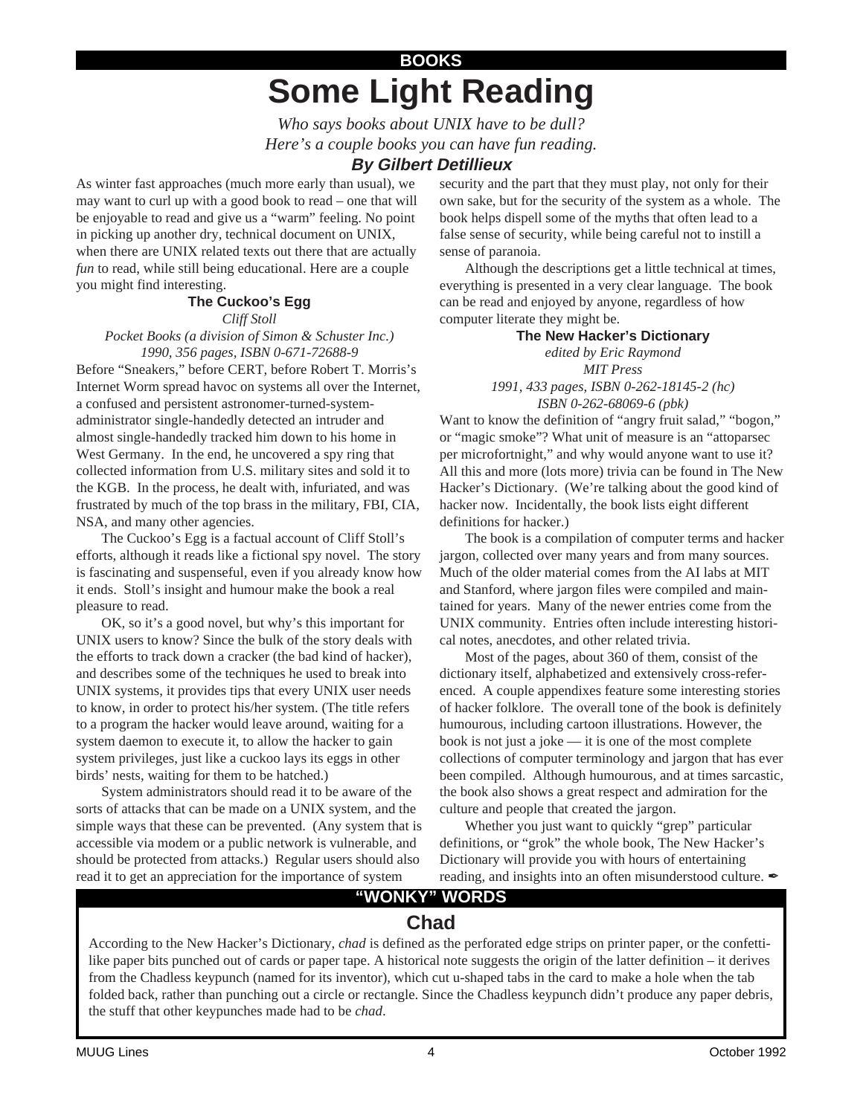## **Some Light Reading BOOKS**

*Who says books about UNIX have to be dull? Here's a couple books you can have fun reading.*

#### **By Gilbert Detillieux**

As winter fast approaches (much more early than usual), we may want to curl up with a good book to read – one that will be enjoyable to read and give us a "warm" feeling. No point in picking up another dry, technical document on UNIX, when there are UNIX related texts out there that are actually *fun* to read, while still being educational. Here are a couple you might find interesting.

#### **The Cuckoo's Egg**

*Cliff Stoll*

*Pocket Books (a division of Simon & Schuster Inc.) 1990, 356 pages, ISBN 0-671-72688-9*

Before "Sneakers," before CERT, before Robert T. Morris's Internet Worm spread havoc on systems all over the Internet, a confused and persistent astronomer-turned-systemadministrator single-handedly detected an intruder and almost single-handedly tracked him down to his home in West Germany. In the end, he uncovered a spy ring that collected information from U.S. military sites and sold it to the KGB. In the process, he dealt with, infuriated, and was frustrated by much of the top brass in the military, FBI, CIA, NSA, and many other agencies.

The Cuckoo's Egg is a factual account of Cliff Stoll's efforts, although it reads like a fictional spy novel. The story is fascinating and suspenseful, even if you already know how it ends. Stoll's insight and humour make the book a real pleasure to read.

OK, so it's a good novel, but why's this important for UNIX users to know? Since the bulk of the story deals with the efforts to track down a cracker (the bad kind of hacker), and describes some of the techniques he used to break into UNIX systems, it provides tips that every UNIX user needs to know, in order to protect his/her system. (The title refers to a program the hacker would leave around, waiting for a system daemon to execute it, to allow the hacker to gain system privileges, just like a cuckoo lays its eggs in other birds' nests, waiting for them to be hatched.)

System administrators should read it to be aware of the sorts of attacks that can be made on a UNIX system, and the simple ways that these can be prevented. (Any system that is accessible via modem or a public network is vulnerable, and should be protected from attacks.) Regular users should also read it to get an appreciation for the importance of system

security and the part that they must play, not only for their own sake, but for the security of the system as a whole. The book helps dispell some of the myths that often lead to a false sense of security, while being careful not to instill a sense of paranoia.

Although the descriptions get a little technical at times, everything is presented in a very clear language. The book can be read and enjoyed by anyone, regardless of how computer literate they might be.

#### **The New Hacker's Dictionary**

*edited by Eric Raymond MIT Press 1991, 433 pages, ISBN 0-262-18145-2 (hc)*

*ISBN 0-262-68069-6 (pbk)* Want to know the definition of "angry fruit salad," "bogon," or "magic smoke"? What unit of measure is an "attoparsec per microfortnight," and why would anyone want to use it? All this and more (lots more) trivia can be found in The New Hacker's Dictionary. (We're talking about the good kind of

hacker now. Incidentally, the book lists eight different definitions for hacker.) The book is a compilation of computer terms and hacker jargon, collected over many years and from many sources. Much of the older material comes from the AI labs at MIT and Stanford, where jargon files were compiled and maintained for years. Many of the newer entries come from the UNIX community. Entries often include interesting histori-

cal notes, anecdotes, and other related trivia. Most of the pages, about 360 of them, consist of the dictionary itself, alphabetized and extensively cross-referenced. A couple appendixes feature some interesting stories of hacker folklore. The overall tone of the book is definitely humourous, including cartoon illustrations. However, the book is not just a joke — it is one of the most complete collections of computer terminology and jargon that has ever been compiled. Although humourous, and at times sarcastic, the book also shows a great respect and admiration for the culture and people that created the jargon.

Whether you just want to quickly "grep" particular definitions, or "grok" the whole book, The New Hacker's Dictionary will provide you with hours of entertaining reading, and insights into an often misunderstood culture.

### **"WONKY" WORDS**

### **Chad**

According to the New Hacker's Dictionary, *chad* is defined as the perforated edge strips on printer paper, or the confettilike paper bits punched out of cards or paper tape. A historical note suggests the origin of the latter definition – it derives from the Chadless keypunch (named for its inventor), which cut u-shaped tabs in the card to make a hole when the tab folded back, rather than punching out a circle or rectangle. Since the Chadless keypunch didn't produce any paper debris, the stuff that other keypunches made had to be *chad*.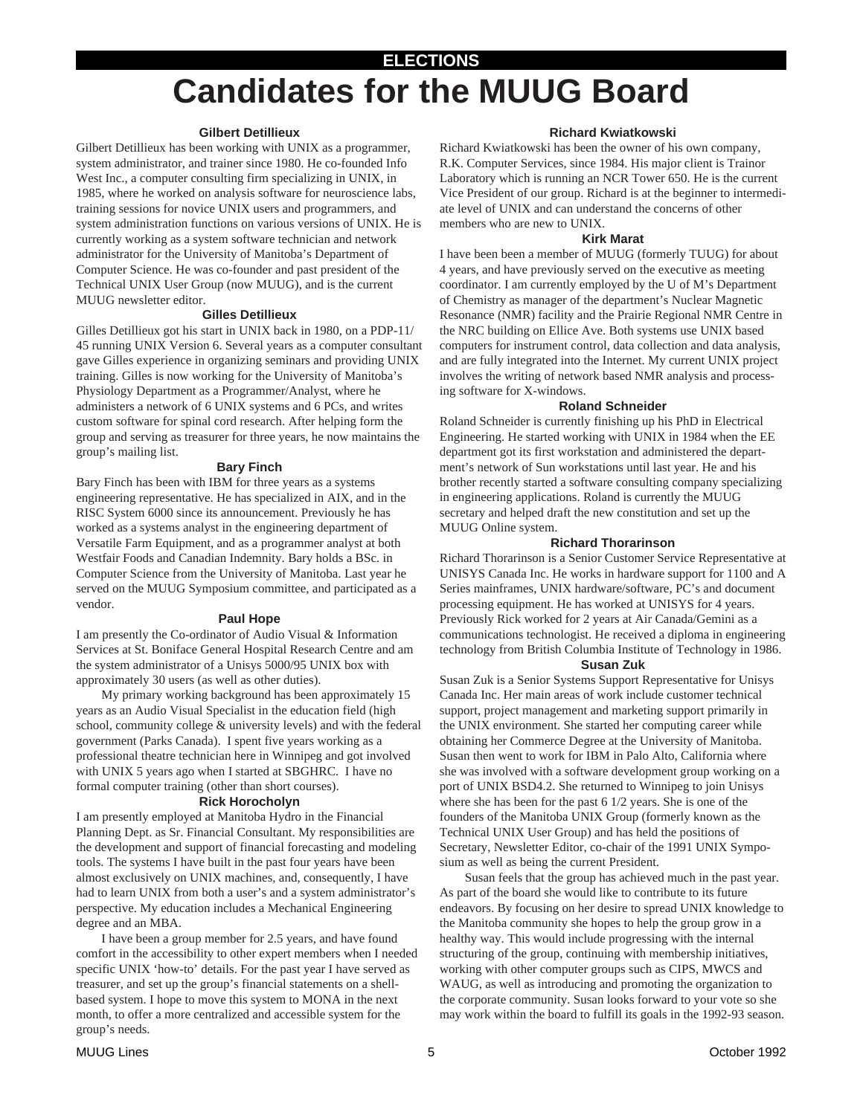## **ELECTIONS Candidates for the MUUG Board**

#### **Gilbert Detillieux**

Gilbert Detillieux has been working with UNIX as a programmer, system administrator, and trainer since 1980. He co-founded Info West Inc., a computer consulting firm specializing in UNIX, in 1985, where he worked on analysis software for neuroscience labs, training sessions for novice UNIX users and programmers, and system administration functions on various versions of UNIX. He is currently working as a system software technician and network administrator for the University of Manitoba's Department of Computer Science. He was co-founder and past president of the Technical UNIX User Group (now MUUG), and is the current MUUG newsletter editor.

#### **Gilles Detillieux**

Gilles Detillieux got his start in UNIX back in 1980, on a PDP-11/ 45 running UNIX Version 6. Several years as a computer consultant gave Gilles experience in organizing seminars and providing UNIX training. Gilles is now working for the University of Manitoba's Physiology Department as a Programmer/Analyst, where he administers a network of 6 UNIX systems and 6 PCs, and writes custom software for spinal cord research. After helping form the group and serving as treasurer for three years, he now maintains the group's mailing list.

#### **Bary Finch**

Bary Finch has been with IBM for three years as a systems engineering representative. He has specialized in AIX, and in the RISC System 6000 since its announcement. Previously he has worked as a systems analyst in the engineering department of Versatile Farm Equipment, and as a programmer analyst at both Westfair Foods and Canadian Indemnity. Bary holds a BSc. in Computer Science from the University of Manitoba. Last year he served on the MUUG Symposium committee, and participated as a vendor.

#### **Paul Hope**

I am presently the Co-ordinator of Audio Visual & Information Services at St. Boniface General Hospital Research Centre and am the system administrator of a Unisys 5000/95 UNIX box with approximately 30 users (as well as other duties).

My primary working background has been approximately 15 years as an Audio Visual Specialist in the education field (high school, community college & university levels) and with the federal government (Parks Canada). I spent five years working as a professional theatre technician here in Winnipeg and got involved with UNIX 5 years ago when I started at SBGHRC. I have no formal computer training (other than short courses).

#### **Rick Horocholyn**

I am presently employed at Manitoba Hydro in the Financial Planning Dept. as Sr. Financial Consultant. My responsibilities are the development and support of financial forecasting and modeling tools. The systems I have built in the past four years have been almost exclusively on UNIX machines, and, consequently, I have had to learn UNIX from both a user's and a system administrator's perspective. My education includes a Mechanical Engineering degree and an MBA.

I have been a group member for 2.5 years, and have found comfort in the accessibility to other expert members when I needed specific UNIX 'how-to' details. For the past year I have served as treasurer, and set up the group's financial statements on a shellbased system. I hope to move this system to MONA in the next month, to offer a more centralized and accessible system for the group's needs.

#### **Richard Kwiatkowski**

Richard Kwiatkowski has been the owner of his own company, R.K. Computer Services, since 1984. His major client is Trainor Laboratory which is running an NCR Tower 650. He is the current Vice President of our group. Richard is at the beginner to intermediate level of UNIX and can understand the concerns of other members who are new to UNIX.

#### **Kirk Marat**

I have been been a member of MUUG (formerly TUUG) for about 4 years, and have previously served on the executive as meeting coordinator. I am currently employed by the U of M's Department of Chemistry as manager of the department's Nuclear Magnetic Resonance (NMR) facility and the Prairie Regional NMR Centre in the NRC building on Ellice Ave. Both systems use UNIX based computers for instrument control, data collection and data analysis, and are fully integrated into the Internet. My current UNIX project involves the writing of network based NMR analysis and processing software for X-windows.

#### **Roland Schneider**

Roland Schneider is currently finishing up his PhD in Electrical Engineering. He started working with UNIX in 1984 when the EE department got its first workstation and administered the department's network of Sun workstations until last year. He and his brother recently started a software consulting company specializing in engineering applications. Roland is currently the MUUG secretary and helped draft the new constitution and set up the MUUG Online system.

#### **Richard Thorarinson**

Richard Thorarinson is a Senior Customer Service Representative at UNISYS Canada Inc. He works in hardware support for 1100 and A Series mainframes, UNIX hardware/software, PC's and document processing equipment. He has worked at UNISYS for 4 years. Previously Rick worked for 2 years at Air Canada/Gemini as a communications technologist. He received a diploma in engineering technology from British Columbia Institute of Technology in 1986.

#### **Susan Zuk**

Susan Zuk is a Senior Systems Support Representative for Unisys Canada Inc. Her main areas of work include customer technical support, project management and marketing support primarily in the UNIX environment. She started her computing career while obtaining her Commerce Degree at the University of Manitoba. Susan then went to work for IBM in Palo Alto, California where she was involved with a software development group working on a port of UNIX BSD4.2. She returned to Winnipeg to join Unisys where she has been for the past 6 1/2 years. She is one of the founders of the Manitoba UNIX Group (formerly known as the Technical UNIX User Group) and has held the positions of Secretary, Newsletter Editor, co-chair of the 1991 UNIX Symposium as well as being the current President.

Susan feels that the group has achieved much in the past year. As part of the board she would like to contribute to its future endeavors. By focusing on her desire to spread UNIX knowledge to the Manitoba community she hopes to help the group grow in a healthy way. This would include progressing with the internal structuring of the group, continuing with membership initiatives, working with other computer groups such as CIPS, MWCS and WAUG, as well as introducing and promoting the organization to the corporate community. Susan looks forward to your vote so she may work within the board to fulfill its goals in the 1992-93 season.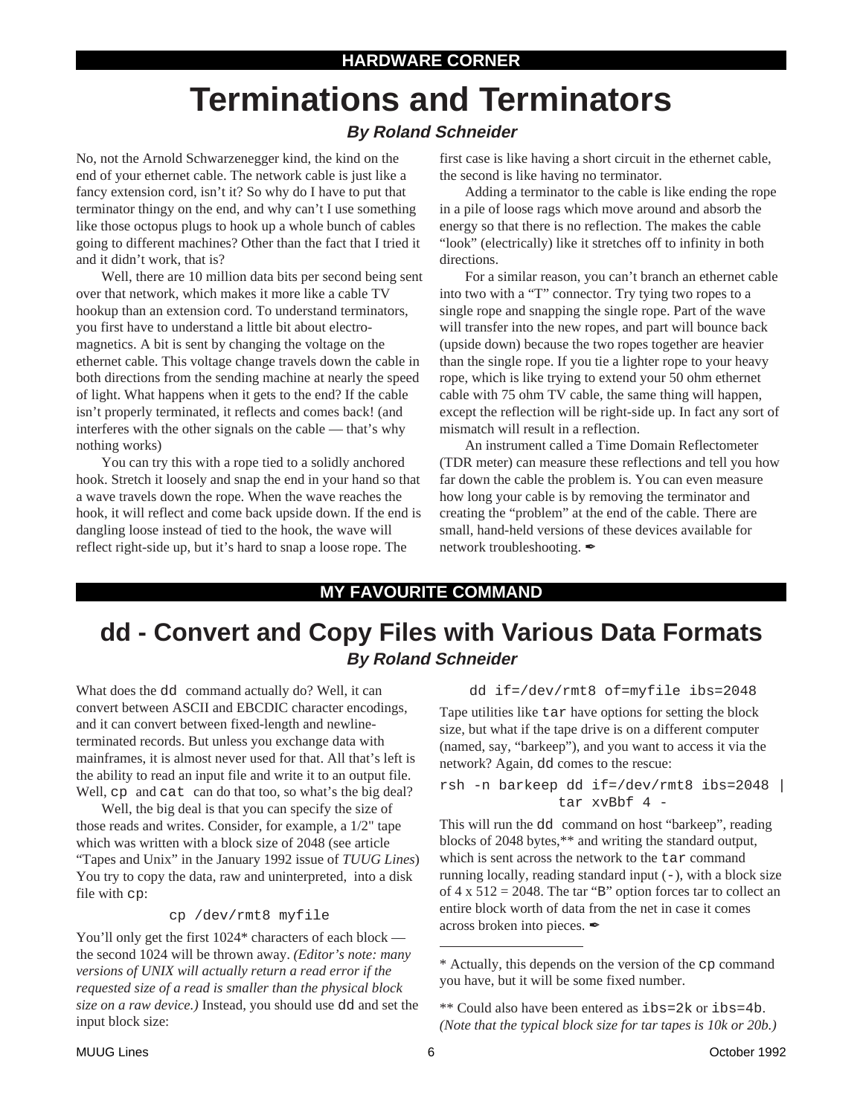# **Terminations and Terminators**

#### **By Roland Schneider**

No, not the Arnold Schwarzenegger kind, the kind on the end of your ethernet cable. The network cable is just like a fancy extension cord, isn't it? So why do I have to put that terminator thingy on the end, and why can't I use something like those octopus plugs to hook up a whole bunch of cables going to different machines? Other than the fact that I tried it and it didn't work, that is?

Well, there are 10 million data bits per second being sent over that network, which makes it more like a cable TV hookup than an extension cord. To understand terminators, you first have to understand a little bit about electromagnetics. A bit is sent by changing the voltage on the ethernet cable. This voltage change travels down the cable in both directions from the sending machine at nearly the speed of light. What happens when it gets to the end? If the cable isn't properly terminated, it reflects and comes back! (and interferes with the other signals on the cable — that's why nothing works)

You can try this with a rope tied to a solidly anchored hook. Stretch it loosely and snap the end in your hand so that a wave travels down the rope. When the wave reaches the hook, it will reflect and come back upside down. If the end is dangling loose instead of tied to the hook, the wave will reflect right-side up, but it's hard to snap a loose rope. The

first case is like having a short circuit in the ethernet cable, the second is like having no terminator.

Adding a terminator to the cable is like ending the rope in a pile of loose rags which move around and absorb the energy so that there is no reflection. The makes the cable "look" (electrically) like it stretches off to infinity in both directions.

For a similar reason, you can't branch an ethernet cable into two with a "T" connector. Try tying two ropes to a single rope and snapping the single rope. Part of the wave will transfer into the new ropes, and part will bounce back (upside down) because the two ropes together are heavier than the single rope. If you tie a lighter rope to your heavy rope, which is like trying to extend your 50 ohm ethernet cable with 75 ohm TV cable, the same thing will happen, except the reflection will be right-side up. In fact any sort of mismatch will result in a reflection.

An instrument called a Time Domain Reflectometer (TDR meter) can measure these reflections and tell you how far down the cable the problem is. You can even measure how long your cable is by removing the terminator and creating the "problem" at the end of the cable. There are small, hand-held versions of these devices available for network troubleshooting.

#### **MY FAVOURITE COMMAND**

### **dd - Convert and Copy Files with Various Data Formats By Roland Schneider**

What does the dd command actually do? Well, it can convert between ASCII and EBCDIC character encodings, and it can convert between fixed-length and newlineterminated records. But unless you exchange data with mainframes, it is almost never used for that. All that's left is the ability to read an input file and write it to an output file. Well, cp and cat can do that too, so what's the big deal?

Well, the big deal is that you can specify the size of those reads and writes. Consider, for example, a 1/2" tape which was written with a block size of 2048 (see article "Tapes and Unix" in the January 1992 issue of *TUUG Lines*) You try to copy the data, raw and uninterpreted, into a disk file with cp:

#### cp /dev/rmt8 myfile

You'll only get the first 1024\* characters of each block the second 1024 will be thrown away. *(Editor's note: many versions of UNIX will actually return a read error if the requested size of a read is smaller than the physical block size on a raw device.)* Instead, you should use dd and set the input block size:

dd if=/dev/rmt8 of=myfile ibs=2048

Tape utilities like tar have options for setting the block size, but what if the tape drive is on a different computer (named, say, "barkeep"), and you want to access it via the network? Again, dd comes to the rescue:

rsh -n barkeep dd if=/dev/rmt8 ibs=2048 | tar xvBbf 4 -

This will run the dd command on host "barkeep", reading blocks of 2048 bytes,\*\* and writing the standard output, which is sent across the network to the tar command running locally, reading standard input  $(-)$ , with a block size of  $4 \times 512 = 2048$ . The tar "B" option forces tar to collect an entire block worth of data from the net in case it comes across broken into pieces.

<sup>\*</sup> Actually, this depends on the version of the cp command you have, but it will be some fixed number.

<sup>\*\*</sup> Could also have been entered as ibs=2k or ibs=4b. *(Note that the typical block size for tar tapes is 10k or 20b.)*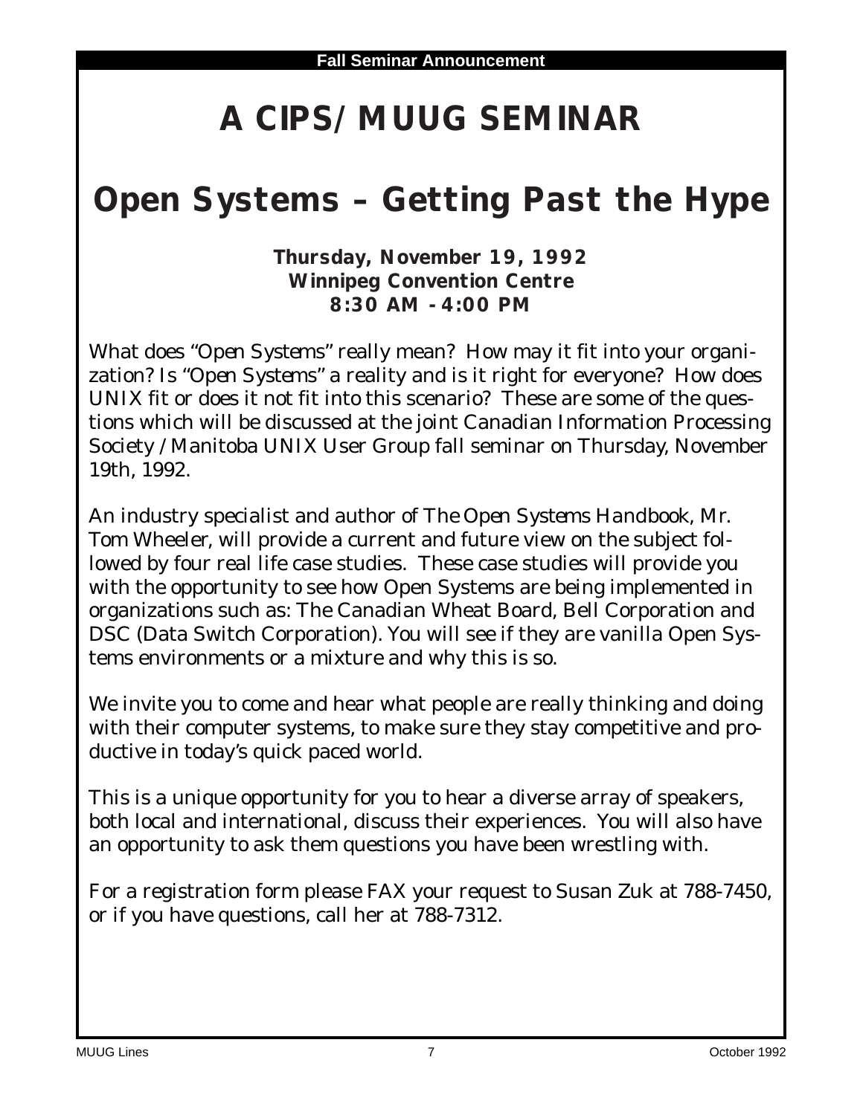# **A CIPS/MUUG SEMINAR**

# **Open Systems – Getting Past the Hype**

**Thursday, November 19, 1992 Winnipeg Convention Centre 8:30 AM - 4:00 PM**

What does "*Open Systems*" really mean? How may it fit into your organization? Is "*Open Systems*" a reality and is it right for everyone? How does UNIX fit or does it not fit into this scenario? These are some of the questions which will be discussed at the joint Canadian Information Processing Society / Manitoba UNIX User Group fall seminar on Thursday, November 19th, 1992.

An industry specialist and author of *The Open Systems Handbook*, Mr. Tom Wheeler, will provide a current and future view on the subject followed by four real life case studies. These case studies will provide you with the opportunity to see how Open Systems are being implemented in organizations such as: The Canadian Wheat Board, Bell Corporation and DSC (Data Switch Corporation). You will see if they are vanilla Open Systems environments or a mixture and why this is so.

We invite you to come and hear what people are really thinking and doing with their computer systems, to make sure they stay competitive and productive in today's quick paced world.

This is a unique opportunity for you to hear a diverse array of speakers, both local and international, discuss their experiences. You will also have an opportunity to ask them questions you have been wrestling with.

For a registration form please FAX your request to Susan Zuk at 788-7450, or if you have questions, call her at 788-7312.